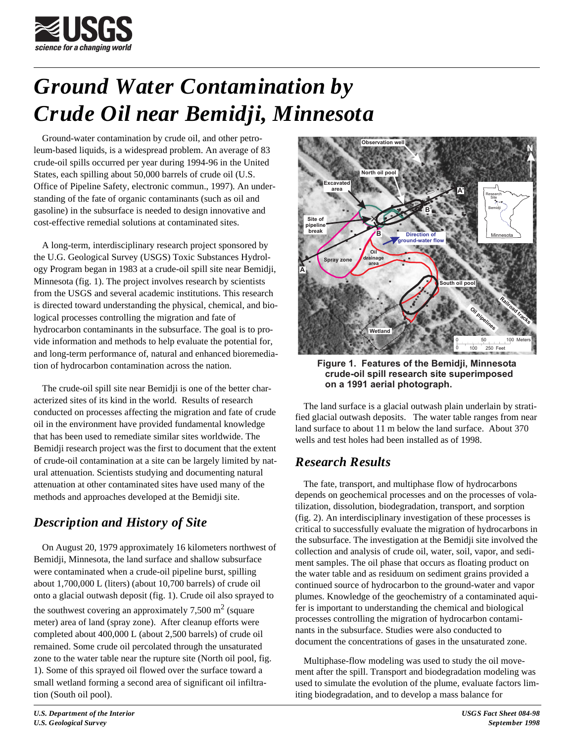

# *Ground Water Contamination by Crude Oil near Bemidji, Minnesota*

Ground-water contamination by crude oil, and other petroleum-based liquids, is a widespread problem. An average of 83 crude-oil spills occurred per year during 1994-96 in the United States, each spilling about 50,000 barrels of crude oil (U.S. Office of Pipeline Safety, electronic commun., 1997). An understanding of the fate of organic contaminants (such as oil and gasoline) in the subsurface is needed to design innovative and cost-effective remedial solutions at contaminated sites.

A long-term, interdisciplinary research project sponsored by the U.G. Geological Survey (USGS) Toxic Substances Hydrology Program began in 1983 at a crude-oil spill site near Bemidji, Minnesota (fig. 1). The project involves research by scientists from the USGS and several academic institutions. This research is directed toward understanding the physical, chemical, and biological processes controlling the migration and fate of hydrocarbon contaminants in the subsurface. The goal is to provide information and methods to help evaluate the potential for, and long-term performance of, natural and enhanced bioremediation of hydrocarbon contamination across the nation.

The crude-oil spill site near Bemidji is one of the better characterized sites of its kind in the world. Results of research conducted on processes affecting the migration and fate of crude oil in the environment have provided fundamental knowledge that has been used to remediate similar sites worldwide. The Bemidji research project was the first to document that the extent of crude-oil contamination at a site can be largely limited by natural attenuation. Scientists studying and documenting natural attenuation at other contaminated sites have used many of the methods and approaches developed at the Bemidji site.

## *Description and History of Site*

On August 20, 1979 approximately 16 kilometers northwest of Bemidji, Minnesota, the land surface and shallow subsurface were contaminated when a crude-oil pipeline burst, spilling about 1,700,000 L (liters) (about 10,700 barrels) of crude oil onto a glacial outwash deposit (fig. 1). Crude oil also sprayed to the southwest covering an approximately 7,500 m<sup>2</sup> (square meter) area of land (spray zone). After cleanup efforts were completed about 400,000 L (about 2,500 barrels) of crude oil remained. Some crude oil percolated through the unsaturated zone to the water table near the rupture site (North oil pool, fig. 1). Some of this sprayed oil flowed over the surface toward a small wetland forming a second area of significant oil infiltration (South oil pool).



**Figure 1. Features of the Bemidji, Minnesota superimposed crude-oil spill research site on a 1991 aerial photograph.**

The land surface is a glacial outwash plain underlain by stratified glacial outwash deposits. The water table ranges from near land surface to about 11 m below the land surface. About 370 wells and test holes had been installed as of 1998.

## *Research Results*

The fate, transport, and multiphase flow of hydrocarbons depends on geochemical processes and on the processes of volatilization, dissolution, biodegradation, transport, and sorption (fig. 2). An interdisciplinary investigation of these processes is critical to successfully evaluate the migration of hydrocarbons in the subsurface. The investigation at the Bemidji site involved the collection and analysis of crude oil, water, soil, vapor, and sediment samples. The oil phase that occurs as floating product on the water table and as residuum on sediment grains provided a continued source of hydrocarbon to the ground-water and vapor plumes. Knowledge of the geochemistry of a contaminated aquifer is important to understanding the chemical and biological processes controlling the migration of hydrocarbon contaminants in the subsurface. Studies were also conducted to document the concentrations of gases in the unsaturated zone.

Multiphase-flow modeling was used to study the oil movement after the spill. Transport and biodegradation modeling was used to simulate the evolution of the plume, evaluate factors limiting biodegradation, and to develop a mass balance for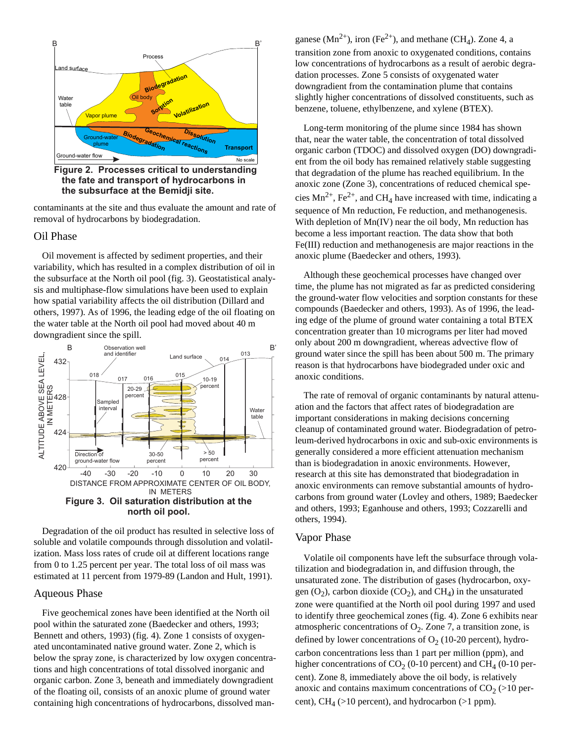

**Figure 2. Processes critical to understanding the fate and transport of hydrocarbons in the subsurface at the Bemidji site.**

contaminants at the site and thus evaluate the amount and rate of removal of hydrocarbons by biodegradation.

#### Oil Phase

Oil movement is affected by sediment properties, and their variability, which has resulted in a complex distribution of oil in the subsurface at the North oil pool (fig. 3). Geostatistical analysis and multiphase-flow simulations have been used to explain how spatial variability affects the oil distribution (Dillard and others, 1997). As of 1996, the leading edge of the oil floating on the water table at the North oil pool had moved about 40 m downgradient since the spill.



Degradation of the oil product has resulted in selective loss of soluble and volatile compounds through dissolution and volatilization. Mass loss rates of crude oil at different locations range from 0 to 1.25 percent per year. The total loss of oil mass was estimated at 11 percent from 1979-89 (Landon and Hult, 1991).

#### Aqueous Phase

Five geochemical zones have been identified at the North oil pool within the saturated zone (Baedecker and others, 1993; Bennett and others, 1993) (fig. 4). Zone 1 consists of oxygenated uncontaminated native ground water. Zone 2, which is below the spray zone, is characterized by low oxygen concentrations and high concentrations of total dissolved inorganic and organic carbon. Zone 3, beneath and immediately downgradient of the floating oil, consists of an anoxic plume of ground water containing high concentrations of hydrocarbons, dissolved manganese ( $Mn^{2+}$ ), iron (Fe<sup>2+</sup>), and methane (CH<sub>4</sub>). Zone 4, a transition zone from anoxic to oxygenated conditions, contains low concentrations of hydrocarbons as a result of aerobic degradation processes. Zone 5 consists of oxygenated water downgradient from the contamination plume that contains slightly higher concentrations of dissolved constituents, such as benzene, toluene, ethylbenzene, and xylene (BTEX).

Long-term monitoring of the plume since 1984 has shown that, near the water table, the concentration of total dissolved organic carbon (TDOC) and dissolved oxygen (DO) downgradient from the oil body has remained relatively stable suggesting that degradation of the plume has reached equilibrium. In the anoxic zone (Zone 3), concentrations of reduced chemical species  $Mn^{2+}$ , Fe<sup>2+</sup>, and CH<sub>4</sub> have increased with time, indicating a sequence of Mn reduction, Fe reduction, and methanogenesis. With depletion of Mn(IV) near the oil body, Mn reduction has become a less important reaction. The data show that both Fe(III) reduction and methanogenesis are major reactions in the anoxic plume (Baedecker and others, 1993).

Although these geochemical processes have changed over time, the plume has not migrated as far as predicted considering the ground-water flow velocities and sorption constants for these compounds (Baedecker and others, 1993). As of 1996, the leading edge of the plume of ground water containing a total BTEX concentration greater than 10 micrograms per liter had moved only about 200 m downgradient, whereas advective flow of ground water since the spill has been about 500 m. The primary reason is that hydrocarbons have biodegraded under oxic and anoxic conditions.

The rate of removal of organic contaminants by natural attenuation and the factors that affect rates of biodegradation are important considerations in making decisions concerning cleanup of contaminated ground water. Biodegradation of petroleum-derived hydrocarbons in oxic and sub-oxic environments is generally considered a more efficient attenuation mechanism than is biodegradation in anoxic environments. However, research at this site has demonstrated that biodegradation in anoxic environments can remove substantial amounts of hydrocarbons from ground water (Lovley and others, 1989; Baedecker and others, 1993; Eganhouse and others, 1993; Cozzarelli and others, 1994).

#### Vapor Phase

Volatile oil components have left the subsurface through volatilization and biodegradation in, and diffusion through, the unsaturated zone. The distribution of gases (hydrocarbon, oxygen  $(O_2)$ , carbon dioxide  $(CO_2)$ , and  $CH_4$ ) in the unsaturated zone were quantified at the North oil pool during 1997 and used to identify three geochemical zones (fig. 4). Zone 6 exhibits near atmospheric concentrations of  $O_2$ . Zone 7, a transition zone, is defined by lower concentrations of  $O_2$  (10-20 percent), hydrocarbon concentrations less than 1 part per million (ppm), and higher concentrations of  $CO_2$  (0-10 percent) and  $CH_4$  (0-10 percent). Zone 8, immediately above the oil body, is relatively anoxic and contains maximum concentrations of  $CO<sub>2</sub> (>10$  percent),  $CH_4$  (>10 percent), and hydrocarbon (>1 ppm).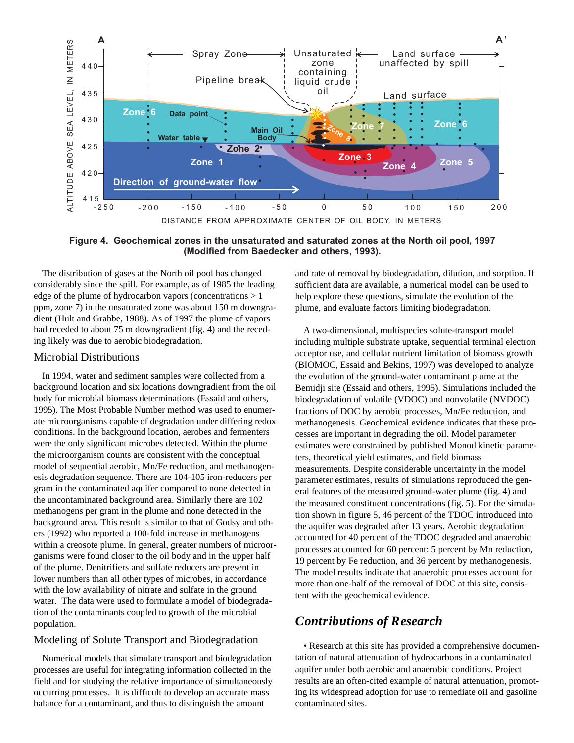

**Figure 4. Geochemical zones in the unsaturated and saturated zones at the North oil pool, 1997 (Modified from Baedecker and others, 1993).**

The distribution of gases at the North oil pool has changed considerably since the spill. For example, as of 1985 the leading edge of the plume of hydrocarbon vapors (concentrations  $> 1$ ) ppm, zone 7) in the unsaturated zone was about 150 m downgradient (Hult and Grabbe, 1988). As of 1997 the plume of vapors had receded to about 75 m downgradient (fig. 4) and the receding likely was due to aerobic biodegradation.

#### Microbial Distributions

In 1994, water and sediment samples were collected from a background location and six locations downgradient from the oil body for microbial biomass determinations (Essaid and others, 1995). The Most Probable Number method was used to enumerate microorganisms capable of degradation under differing redox conditions. In the background location, aerobes and fermenters were the only significant microbes detected. Within the plume the microorganism counts are consistent with the conceptual model of sequential aerobic, Mn/Fe reduction, and methanogenesis degradation sequence. There are 104-105 iron-reducers per gram in the contaminated aquifer compared to none detected in the uncontaminated background area. Similarly there are 102 methanogens per gram in the plume and none detected in the background area. This result is similar to that of Godsy and others (1992) who reported a 100-fold increase in methanogens within a creosote plume. In general, greater numbers of microorganisms were found closer to the oil body and in the upper half of the plume. Denitrifiers and sulfate reducers are present in lower numbers than all other types of microbes, in accordance with the low availability of nitrate and sulfate in the ground water. The data were used to formulate a model of biodegradation of the contaminants coupled to growth of the microbial population.

### Modeling of Solute Transport and Biodegradation

Numerical models that simulate transport and biodegradation processes are useful for integrating information collected in the field and for studying the relative importance of simultaneously occurring processes. It is difficult to develop an accurate mass balance for a contaminant, and thus to distinguish the amount

and rate of removal by biodegradation, dilution, and sorption. If sufficient data are available, a numerical model can be used to help explore these questions, simulate the evolution of the plume, and evaluate factors limiting biodegradation.

A two-dimensional, multispecies solute-transport model including multiple substrate uptake, sequential terminal electron acceptor use, and cellular nutrient limitation of biomass growth (BIOMOC, Essaid and Bekins, 1997) was developed to analyze the evolution of the ground-water contaminant plume at the Bemidji site (Essaid and others, 1995). Simulations included the biodegradation of volatile (VDOC) and nonvolatile (NVDOC) fractions of DOC by aerobic processes, Mn/Fe reduction, and methanogenesis. Geochemical evidence indicates that these processes are important in degrading the oil. Model parameter estimates were constrained by published Monod kinetic parameters, theoretical yield estimates, and field biomass measurements. Despite considerable uncertainty in the model parameter estimates, results of simulations reproduced the general features of the measured ground-water plume (fig. 4) and the measured constituent concentrations (fig. 5). For the simulation shown in figure 5, 46 percent of the TDOC introduced into the aquifer was degraded after 13 years. Aerobic degradation accounted for 40 percent of the TDOC degraded and anaerobic processes accounted for 60 percent: 5 percent by Mn reduction, 19 percent by Fe reduction, and 36 percent by methanogenesis. The model results indicate that anaerobic processes account for more than one-half of the removal of DOC at this site, consistent with the geochemical evidence.

## *Contributions of Research*

• Research at this site has provided a comprehensive documentation of natural attenuation of hydrocarbons in a contaminated aquifer under both aerobic and anaerobic conditions. Project results are an often-cited example of natural attenuation, promoting its widespread adoption for use to remediate oil and gasoline contaminated sites.